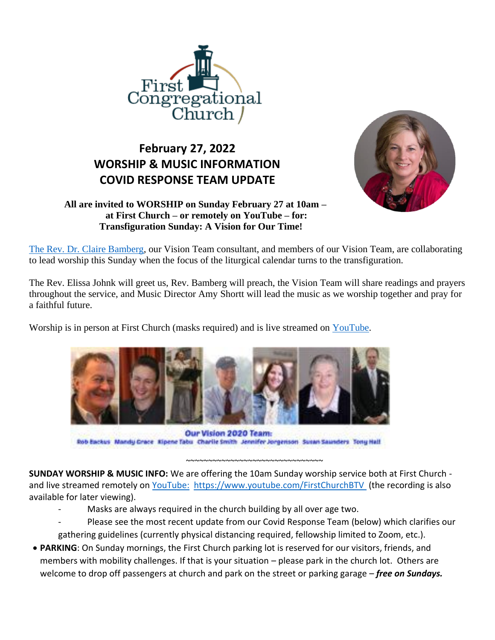

## **February 27, 2022 WORSHIP & MUSIC INFORMATION COVID RESPONSE TEAM UPDATE**



## **All are invited to WORSHIP on Sunday February 27 at 10am – at First Church – or remotely on YouTube – for: Transfiguration Sunday: A Vision for Our Time!**

[The Rev. Dr. Claire Bamberg,](https://coaching4clergy.com/claire-bamberg/) our Vision Team consultant, and members of our Vision Team, are collaborating to lead worship this Sunday when the focus of the liturgical calendar turns to the transfiguration.

The Rev. Elissa Johnk will greet us, Rev. Bamberg will preach, the Vision Team will share readings and prayers throughout the service, and Music Director Amy Shortt will lead the music as we worship together and pray for a faithful future.

Worship is in person at First Church (masks required) and is live streamed on [YouTube.](https://www.youtube.com/FirstChurchBTV)



Our Vision 2020 Team: Rob Backus Mandy Crace Ripene Tabu Charlie Smith Jennifer Jorgenson Suran Saunders Tony Hall

**SUNDAY WORSHIP & MUSIC INFO:** We are offering the 10am Sunday worship service both at First Church - and live streamed remotely on [YouTube:](https://firstchurchburlington.sharepoint.com/sites/FirstCongregationalChurch/Shared%20Documents/Communications/2021%20Newsletter%20Items%20from%20Staff/YouTube)<https://www.youtube.com/FirstChurchBTV> (the recording is also available for later viewing).

- Masks are always required in the church building by all over age two.
- Please see the most recent update from our Covid Response Team (below) which clarifies our gathering guidelines (currently physical distancing required, fellowship limited to Zoom, etc.).

~~~~~~~~~~~~~~~~~~~~~~~~~~~~~~~

• **PARKING**: On Sunday mornings, the First Church parking lot is reserved for our visitors, friends, and members with mobility challenges. If that is your situation – please park in the church lot. Others are welcome to drop off passengers at church and park on the street or parking garage – *free on Sundays.*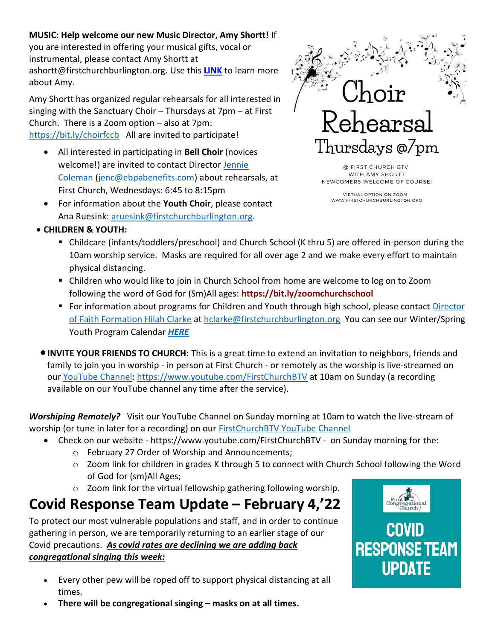## **MUSIC: Help welcome our new Music Director, Amy Shortt!** If

you are interested in offering your musical gifts, vocal or instrumental, please contact Amy Shortt at ashortt@firstchurchburlington.org. Use this **[LINK](https://firstchurchburlington.org/files/2022/02/Amy-Shortt-Announcement.2.11.22.pdf)** to learn more about Amy.

Amy Shortt has organized regular rehearsals for all interested in singing with the Sanctuary Choir – Thursdays at 7pm – at First Church. There is a Zoom option – also at 7pm: <https://bit.ly/choirfccb>All are invited to participate!

- All interested in participating in **Bell Choir** (novices welcome!) are invited to contact Director [Jennie](maillto:jenc@ebpabenefits.com)  [Coleman](maillto:jenc@ebpabenefits.com) [\(jenc@ebpabenefits.com\)](mailto:jenc@ebpabenefits.com) about rehearsals, at First Church, Wednesdays: 6:45 to 8:15pm
- For information about the **Youth Choir**, please contact Ana Ruesink: [aruesink@firstchurchburlington.org.](mailto:aruesink@firstchurchburlington.org)



@ FIRST CHURCH BTV WITH AMY SHORTT NEWCOMERS WELCOME OF COURSE!

VIRTUAL OPTION ON ZOOM WWW.FIRSTCHURCHBURLINGTON.ORG

- **CHILDREN & YOUTH:**
	- Childcare (infants/toddlers/preschool) and Church School (K thru 5) are offered in-person during the 10am worship service. Masks are required for all over age 2 and we make every effort to maintain physical distancing.
	- Children who would like to join in Church School from home are welcome to log on to Zoom following the word of God for (Sm)All ages: **<https://bit.ly/zoomchurchschool>**
	- For information about programs for Children and Youth through high school, please contact Director [of Faith Formation Hilah Clarke](mailto:hclarke@firstchurchburlington.org) at [hclarke@firstchurchburlington.org](mailto:hclarke@firstchurchburlington.org) You can see our Winter/Spring Youth Program Calendar *[HERE](http://firstchurchburlington.usmblogs.com/files/2022/01/Spring-Calendar-Youth-Group-2022.pdf)*
- •**INVITE YOUR FRIENDS TO CHURCH:** This is a great time to extend an invitation to neighbors, friends and family to join you in worship - in person at First Church - or remotely as the worship is live-streamed on our [YouTube Channel: https://www.youtube.com/FirstChurchBTV](https://www.youtube.com/FirstChurchBTV) at 10am on Sunday (a recording available on our YouTube channel any time after the service).

*Worshiping Remotely?* Visit our YouTube Channel on Sunday morning at 10am to watch the live-stream of worship (or tune in later for a recording) on our [FirstChurchBTV YouTube Channel](https://www.youtube.com/FirstChurchBTV)

- Check on our website https://www.youtube.com/FirstChurchBTV on Sunday morning for the:
	- o February 27 Order of Worship and Announcements;
	- o Zoom link for children in grades K through 5 to connect with Church School following the Word of God for (sm)All Ages;
	- o Zoom link for the virtual fellowship gathering following worship.

## **Covid Response Team Update – February 4,'22**

To protect our most vulnerable populations and staff, and in order to continue gathering in person, we are temporarily returning to an earlier stage of our Covid precautions. *As covid rates are declining we are adding back congregational singing this week:*

- Every other pew will be roped off to support physical distancing at all times.
	- **There will be congregational singing – masks on at all times.**